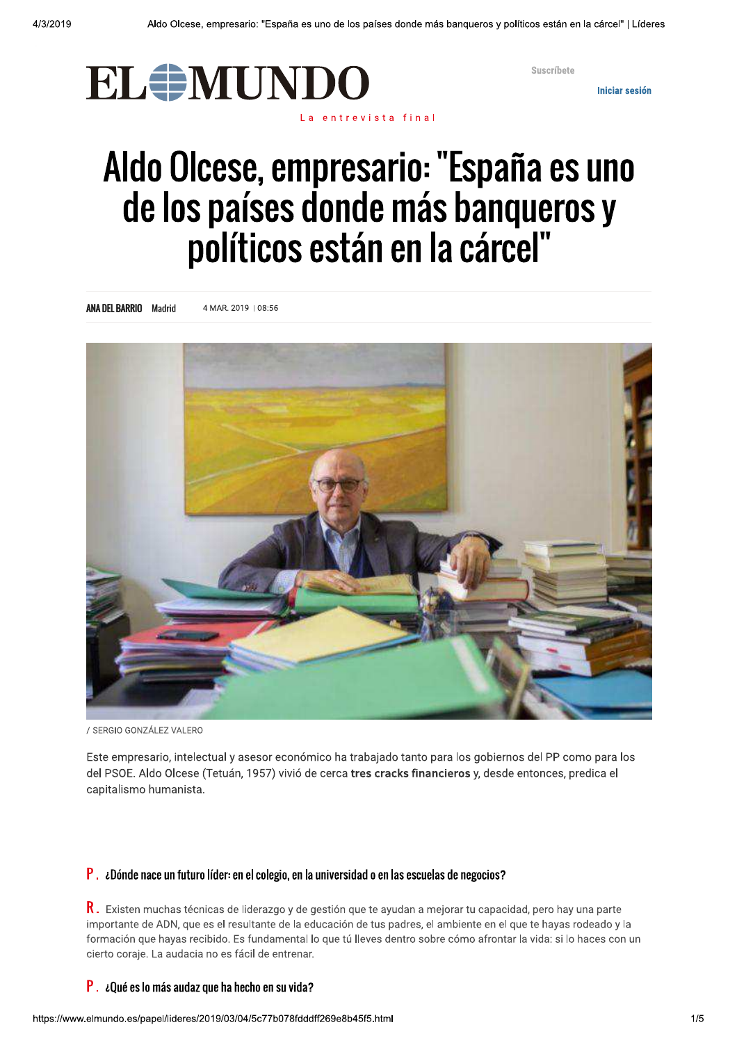

Suscríbete

**Iniciar sesión** 

# Aldo Olcese, empresario: "España es uno de los países donde más banqueros y políticos están en la cárcel"

**ANA DEL BARRIO** Madrid 4 MAR. 2019 | 08:56



/ SERGIO GONZÁLEZ VALERO

Este empresario, intelectual y asesor económico ha trabajado tanto para los gobiernos del PP como para los del PSOE. Aldo Olcese (Tetuán, 1957) vivió de cerca tres cracks financieros y, desde entonces, predica el capitalismo humanista.

### $\mathsf P$ . ¿Dónde nace un futuro líder: en el colegio, en la universidad o en las escuelas de negocios?

 $\mathsf R$ . Existen muchas técnicas de liderazgo y de gestión que te ayudan a mejorar tu capacidad, pero hay una parte importante de ADN, que es el resultante de la educación de tus padres, el ambiente en el que te hayas rodeado y la formación que hayas recibido. Es fundamental lo que tú lleves dentro sobre cómo afrontar la vida: si lo haces con un cierto coraje. La audacia no es fácil de entrenar.

### $\mathsf{P}$ . ¿Qué es lo más audaz que ha hecho en su vida?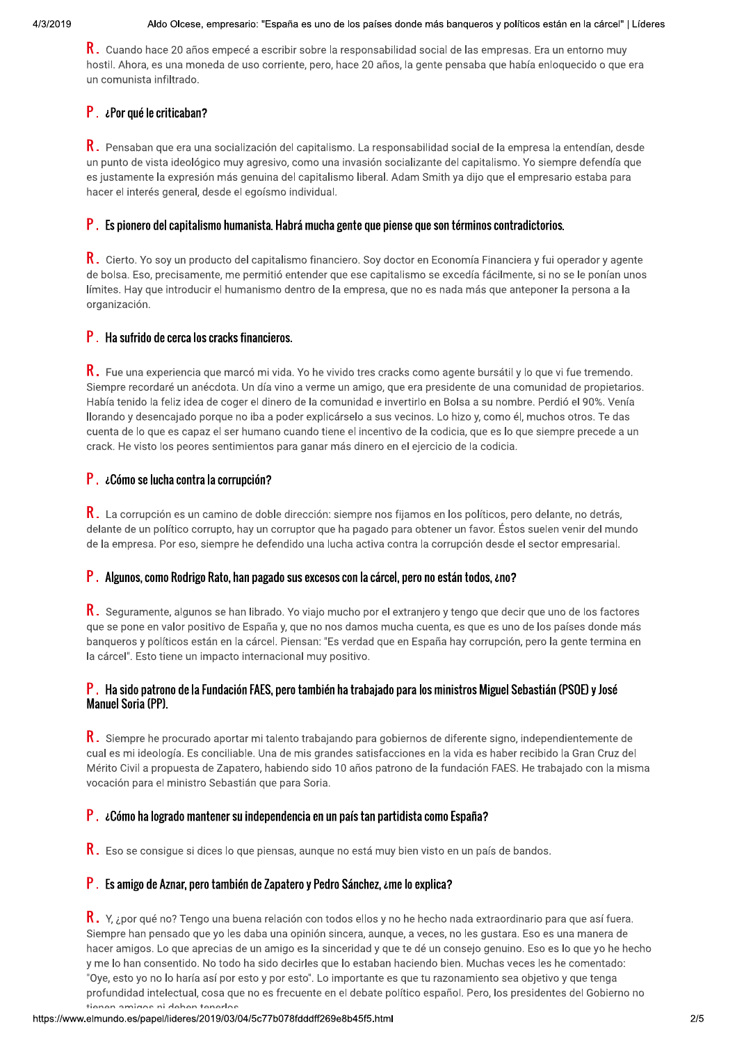$\,$ R. Cuando hace 20 años empecé a escribir sobre la responsabilidad social de las empresas. Era un entorno muy hostil. Ahora, es una moneda de uso corriente, pero, hace 20 años, la gente pensaba que había enloquecido o que era<br>un comunista infiltrado.

## $P_{\perp}$  *i*. Por qué le criticaban?

 $\,$ R. Pensaban que era una socialización del capitalismo. La responsabilidad social de la empresa la entendían, desde un punto de vista ideológico muy agresivo, como una invasión socializante del capitalismo. Yo siempre defendía que es justamente la expresión más genuina del capitalismo liberal. Adam Smith ya dijo que el empresario estaba para<br>hacer el interés general, desde el egoísmo individual.

#### $\overline{P}$ . Es pionero del capitalismo humanista. Habrá mucha gente que piense que son términos contradictorios.

 $R$ . Cierto. Yo soy un producto del capitalismo financiero. Soy doctor en Economía Financiera y fui operador y agente de bolsa. Eso, precisamente, me permitió entender que ese capitalismo se excedía fácilmente, si no se le ponían unos ilmites. Hay que introducir el numanismo dentro de la empresa, que no es nada mas que anteponer la persona a la <del>n Caraction X</del> e soy un producto del capitalism<br>de bolsa. Eso, precisamente, me permitió ent<br>límites. Hay que introducir el humanismo den<br>organización.<br>**P . Ha sufrido de cerca los cracks financieros.** 

 $\overline{R}$ . Fue una experiencia que marcó mi vida. Yo he vivido tres cracks como agente bursátil y lo que vi fue tremendo. Siempre recordaré un anécdota. Un día vino a verme un amigo, que era presidente de una comunidad de propietarios. Había tenido la feliz idea de coger el dinero de la comunidad e invertirlo en Bolsa a su nombre. Perdió el 90%. Venía llorando y desencajado porque no iba a poder explicárselo a sus vecinos. Lo hizo y, como él, muchos otros. Te das cuenta de lo que es capaz el ser numano cuando tiene el incentivo de la codicia, que es lo que siempre precede a un **K**. Fue una experiencia que marcó mi vida. Yo he vivido tres cracks como agente bursatil y l<br>Siempre recordaré un anécdota. Un día vino a verme un amigo, que era presidente de una co<br>Había tenido la feliz idea de coger e

 $\,R$ . La corrupción es un camino de doble dirección: siempre nos fijamos en los políticos, pero delante, no detrás, delante de un político corrupto, nay un corruptor que na pagado para obtener un favor. Estos suelen venir del mundo K. La corrupción es un camino de doble dirección: siempre nos fijamos en los políticos, pero delante, no detrás,<br>delante de un político corrupto, hay un corruptor que ha pagado para obtener un favor. Éstos suelen venir del

 $\overline{R}$ . Seguramente, algunos se han librado. Yo viajo mucho por el extranjero y tengo que decir que uno de los factores que se pone en valor positivo de España y, que no nos damos mucha cuenta, es que es uno de los países donde más banqueros y políticos estan en la carcel. Plensan: "Es verdad que en España hay corrupción, pero la gente termina en **R**. Seguramente, algunos se han librado. Yo viajo mucho por<br>que se pone en valor positivo de España y, que no nos damos<br>banqueros y políticos están en la cárcel. Piensan: "Es verdad d<br>la cárcel". Esto tiene un impacto int

### P. Ha sido patrono de la Fundación FAES, pero también ha trabajado para los ministros Miguel Sebastián (PSOE) y José Manuel Soria (PP).

 $\overline{R}$ . Siempre he procurado aportar mi talento trabajando para gobiernos de diferente signo, independientemente de cual es mi ideología. Es conciliable. Una de mis grandes satisfacciones en la vida es haber recibido la Gran Cruz del Mérito Civil a propuesta de Zapatero, habiendo sido 10 años patrono de la fundación FAES. He trabajado con la misma<br>vocación para el ministro Sebastián que para Soria.

#### $\mathsf P$ . ¿Cómo ha logrado mantener su independencia en un país tan partidista como España?

 $\mathsf R.$  Eso se consique si dices lo que piensas, aunque no está muy bien visto en un país de bandos.

### P. Es amigo de Aznar, pero también de Zapatero y Pedro Sánchez,  $\lambda$ me lo explica?

bensado que yo les daba una opinión sincera, aunque, a veces, no les gustara. Eso es una manera de<br>
(Lo que aprecias de un amigo es la sinceridad y que te dé un consejo genuino. Eso es lo que yo he hecho<br>
onsentido. No tod  $\mathsf R$ . Y, *i* por qué no? Tengo una buena relación con todos ellos y no he hecho nada extraordinario para que así fuera. Siempre nan pensado que yo les daba una opinion sincera, aunque, a veces, no les gustara. Eso es una manera de hacer amigos. Lo que aprecias de un amigo es la sinceridad y que te dé un consejo genuino. Eso es lo que yo he hecho y me lo han consentido. No todo ha sido decirles que lo estaban haciendo bien. Muchas veces les he comentado: "Oye, esto yo no lo haría así por esto y por esto". Lo importante es que tu razonamiento sea objetivo y que tenga profundidad intelectual, cosa que no es frecuente en el debate político español. Pero, los presidentes del Gobierno no<br>tienen amigos ni deben tenerlos  $\mathbf{N}$ . Y, ¿por que no? Tengo una bu<br>Siempre han pensado que yo les<br>hacer amigos. Lo que aprecias de<br>y me lo han consentido. No todo<br>"Oye, esto yo no lo haría así por e<br>profundidad intelectual, cosa que<br>tienen amigos ni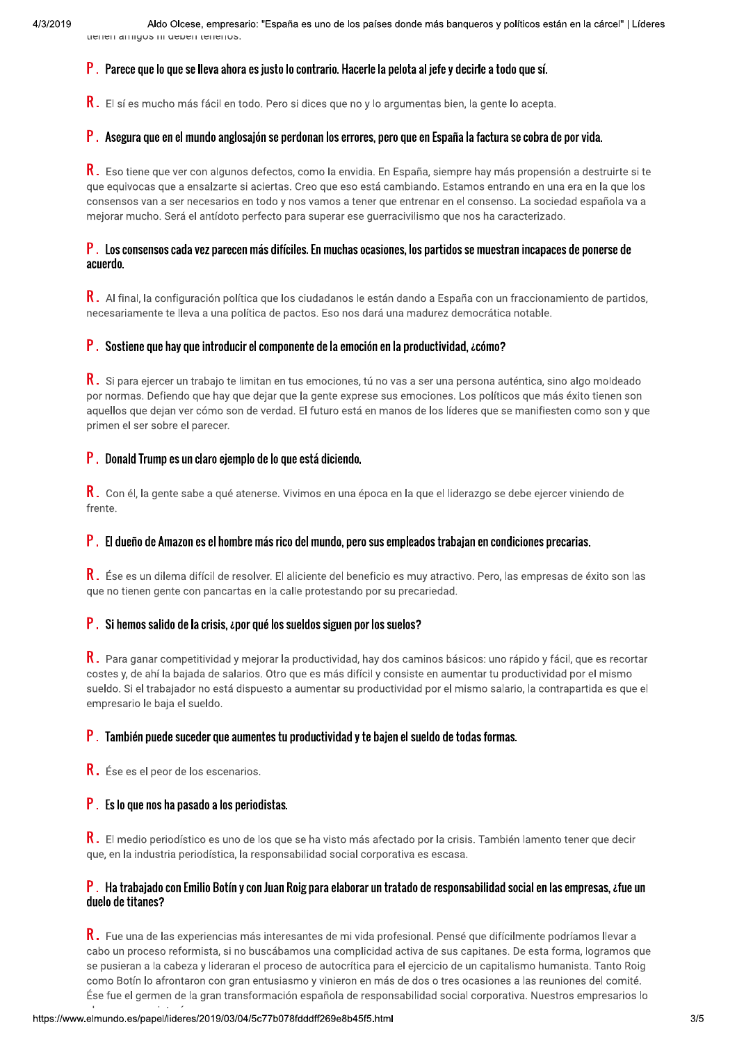Aldo Olcese, empresario: "España es uno de los países donde mas banqueros y políticos están en la carcel" | Lideres  $u$ enen anngos in deben tenenos.

# $\overline{P}$ . Parece que lo que se lleva ahora es iusto lo contrario. Hacerle la pelota al iefe y decirle a todo que sí.

 $\mathsf R$ . El sí es mucho más fácil en todo. Pero si dices que no y lo argumentas bien, la gente lo acepta.

### $\mathsf P$ . Asegura que en el mundo anglosajón se perdonan los errores, pero que en España la factura se cobra de por vida.

 $\,$ R. Eso tiene que ver con algunos defectos, como la envidia. En España, siempre hay más propensión a destruirte si te que equivocas que a ensalzarte si aciertas. Creo que eso está cambiando. Estamos entrando en una era en la que los consensos van a ser necesarios en todo y nos vamos a tener que entrenar en el consenso. La sociedad española va a mejorar mucho. Será el antídoto perfecto para superar ese querracivilismo que nos ha caracterizado.

#### P. Los consensos cada vez parecen más difíciles. En muchas ocasiones, los partidos se muestran incapaces de ponerse de acuerdo.

 $\overline{R}$ . Al final, la configuración política que los ciudadanos le están dando a España con un fraccionamiento de partidos,<br>necesariamente te lleva a una política de pactos. Eso nos dará una madurez democrática notable.

### $\overline{P}$ . Sostiene que hay que introducir el componente de la emoción en la productividad,  $\iota$ cómo?

 $\,R$ . Si para ejercer un trabajo te limitan en tus emociones, tú no vas a ser una persona auténtica, sino algo moldeado por normas. Defiendo que hay que dejar que la gente exprese sus emociones. Los políticos que más éxito tienen son aquellos que dejan ver cómo son de verdad. El futuro está en manos de los líderes que se manifiesten como son y que<br>primen el ser sobre el parecer.

### P. Donald Trump es un claro ejemplo de lo que está diciendo.

 $R.$  Con él, la gente sabe a qué atenerse. Vivimos en una época en la que el liderazgo se debe ejercer viniendo de<br>frente.

### P. El dueño de Amazon es el hombre más rico del mundo, pero sus empleados trabajan en condiciones precarias.

 $\overline{\mathsf{R}}$ . Ése es un dilema difícil de resolver. El aliciente del beneficio es muy atractivo. Pero, las empresas de éxito son las<br>que no tienen gente con pancartas en la calle protestando por su precariedad.

### $\mathbf P$ . Si hemos salido de la crisis, apor qué los sueldos siguen por los suelos?

 $\,R$ . Para ganar competitividad y mejorar la productividad, hay dos caminos básicos: uno rápido y fácil, que es recortar costes y, de ani la bajada de salarios. Otro que es mas difícii y consiste en aumentar tu productividad por el mismo sueldo. Si el trabajador no está dispuesto a aumentar su productividad por el mismo salario, la contrapartida es que el<br>empresario le baia el sueldo. <del>n e</del> Para ganar competitividad y mejorar la productividad, hay dos caminos básicos: uno rápicostes y, de ahí la bajada de salarios. Otro que es más difícil y consiste en aumentar tu produ<br>sueldo. Si el trabajador no está

 $\mathsf R$ . Ése es el peor de los escenarios.

### $\overline{P}$ . Es lo que nos ha pasado a los periodistas.

 $\,$ R. El medio periodístico es uno de los que se ha visto más afectado por la crisis. También lamento tener que decir que, en la industria periodística, la responsabilidad social corporativa es escasa.

### $\mathsf P$ . Ha trabajado con Emilio Botín y con Juan Roig para elaborar un tratado de responsabilidad social en las empresas, afue un duelo de titanes?

e las experiencias más interesantes de mi vida profesional. Pensé que difícilmente podríamos llevar a<br>
so reformista, si no buscábamos una complicidad activa de sus capitanes. De esta forma, logramos que<br>
la cabeza y lider llevar a<br>ramos que<br>'anto Roig<br>! comité.<br>resarios lo<br>3/5  $\,R.$  Fue una de las experiencias más interesantes de mi vida profesional. Pensé que difícilmente podríamos llevar a cabo un proceso reformista, si no buscábamos una complicidad activa de sus capitanes. De esta forma, logramos que se pusieran a la cabeza y lideraran el proceso de autocrítica para el ejercicio de un capitalismo humanista. Tanto Roig como Botín lo afrontaron con gran entusiasmo y vinieron en más de dos o tres ocasiones a las reuniones del comité. Ese fue el germen de la gran transformación española de responsabilidad social corporativa. Nuestros empresarios lo **K** . Fue una de las expedio<br>cabo un proceso refor<br>se pusieran a la cabez<br>como Botín lo afronta<br>Ése fue el germen de